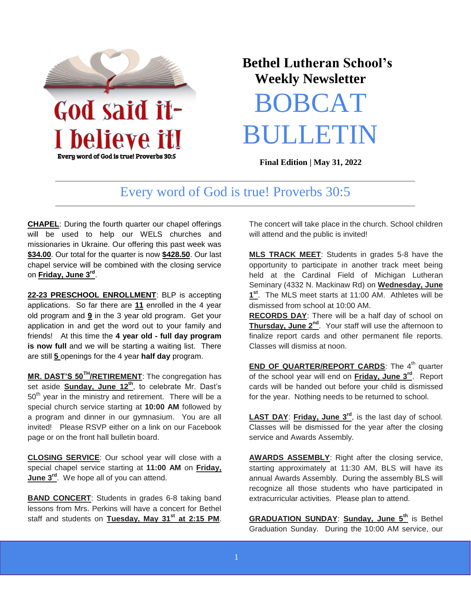

Every word of God is true! Proverbs 30:5

## **Bethel Lutheran School's Weekly Newsletter**

# BOBCAT **BULLET**

**Final Edition | May 31, 2022** 

### Every word of God is true! Proverbs 30:5

**CHAPEL**: During the fourth quarter our chapel offerings will be used to help our WELS churches and missionaries in Ukraine. Our offering this past week was **\$34.00**. Our total for the quarter is now **\$428.50**. Our last chapel service will be combined with the closing service on **Friday, June 3rd** .

**22-23 PRESCHOOL ENROLLMENT**: BLP is accepting applications. So far there are **11** enrolled in the 4 year old program and **9** in the 3 year old program. Get your application in and get the word out to your family and friends! At this time the **4 year old - full day program is now full** and we will be starting a waiting list. There are still **5** openings for the 4 year **half day** program.

**MR. DAST'S 50TH/RETIREMENT**: The congregation has set aside **Sunday, June 12th**, to celebrate Mr. Dast's  $50<sup>th</sup>$  year in the ministry and retirement. There will be a special church service starting at **10:00 AM** followed by a program and dinner in our gymnasium. You are all invited! Please RSVP either on a link on our Facebook page or on the front hall bulletin board.

**CLOSING SERVICE**: Our school year will close with a special chapel service starting at **11:00 AM** on **Friday, June 3rd**. We hope all of you can attend.

**BAND CONCERT**: Students in grades 6-8 taking band lessons from Mrs. Perkins will have a concert for Bethel staff and students on **Tuesday, May 31st at 2:15 PM**. The concert will take place in the church. School children will attend and the public is invited!

**MLS TRACK MEET**: Students in grades 5-8 have the opportunity to participate in another track meet being held at the Cardinal Field of Michigan Lutheran Seminary (4332 N. Mackinaw Rd) on **Wednesday, June 1 st** . The MLS meet starts at 11:00 AM. Athletes will be dismissed from school at 10:00 AM.

**RECORDS DAY**: There will be a half day of school on **Thursday, June 2nd**. Your staff will use the afternoon to finalize report cards and other permanent file reports. Classes will dismiss at noon.

**END OF QUARTER/REPORT CARDS:** The 4<sup>th</sup> quarter of the school year will end on **Friday, June 3rd**. Report cards will be handed out before your child is dismissed for the year. Nothing needs to be returned to school.

**LAST DAY**: **Friday, June 3rd**, is the last day of school. Classes will be dismissed for the year after the closing service and Awards Assembly.

**AWARDS ASSEMBLY**: Right after the closing service, starting approximately at 11:30 AM, BLS will have its annual Awards Assembly. During the assembly BLS will recognize all those students who have participated in extracurricular activities. Please plan to attend.

**GRADUATION SUNDAY**: **Sunday, June 5th** is Bethel Graduation Sunday. During the 10:00 AM service, our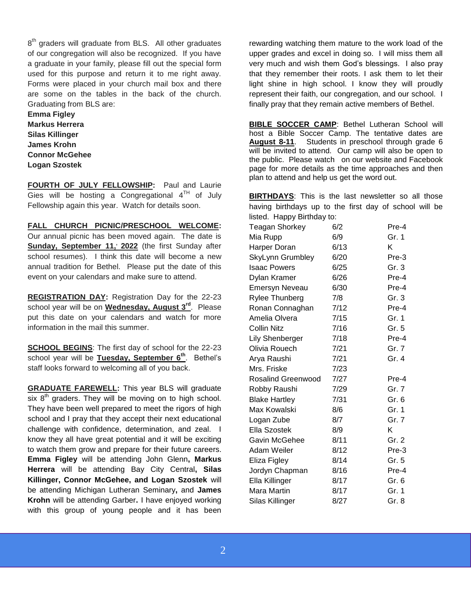8<sup>th</sup> graders will graduate from BLS. All other graduates of our congregation will also be recognized. If you have a graduate in your family, please fill out the special form used for this purpose and return it to me right away. Forms were placed in your church mail box and there are some on the tables in the back of the church. Graduating from BLS are:

**Emma Figley Markus Herrera Silas Killinger James Krohn Connor McGehee Logan Szostek**

**FOURTH OF JULY FELLOWSHIP:** Paul and Laurie Gies will be hosting a Congregational  $4^{TH}$  of July Fellowship again this year. Watch for details soon.

**FALL CHURCH PICNIC/PRESCHOOL WELCOME:**  Our annual picnic has been moved again. The date is Sunday, September 11,' 2022 (the first Sunday after school resumes). I think this date will become a new annual tradition for Bethel. Please put the date of this event on your calendars and make sure to attend.

**REGISTRATION DAY:** Registration Day for the 22-23 school year will be on **Wednesday, August 3rd**. Please put this date on your calendars and watch for more information in the mail this summer.

**SCHOOL BEGINS**: The first day of school for the 22-23 school year will be **Tuesday, September 6th**. Bethel's staff looks forward to welcoming all of you back.

**GRADUATE FAREWELL:** This year BLS will graduate six  $8<sup>th</sup>$  graders. They will be moving on to high school. They have been well prepared to meet the rigors of high school and I pray that they accept their next educational challenge with confidence, determination, and zeal. I know they all have great potential and it will be exciting to watch them grow and prepare for their future careers. **Emma Figley** will be attending John Glenn**, Markus Herrera** will be attending Bay City Central**, Silas Killinger, Connor McGehee, and Logan Szostek** will be attending Michigan Lutheran Seminary**,** and **James Krohn** will be attending Garber**.** I have enjoyed working with this group of young people and it has been rewarding watching them mature to the work load of the upper grades and excel in doing so. I will miss them all very much and wish them God's blessings. I also pray that they remember their roots. I ask them to let their light shine in high school. I know they will proudly represent their faith, our congregation, and our school. I finally pray that they remain active members of Bethel.

**BIBLE SOCCER CAMP**: Bethel Lutheran School will host a Bible Soccer Camp. The tentative dates are **August 8-11**. Students in preschool through grade 6 will be invited to attend. Our camp will also be open to the public. Please watch on our website and Facebook page for more details as the time approaches and then plan to attend and help us get the word out.

**BIRTHDAYS**: This is the last newsletter so all those having birthdays up to the first day of school will be listed. Happy Birthday to:

| Teagan Shorkey            | 6/2  | Pre-4 |
|---------------------------|------|-------|
| Mia Rupp                  | 6/9  | Gr. 1 |
| Harper Doran              | 6/13 | Κ     |
| SkyLynn Grumbley          | 6/20 | Pre-3 |
| <b>Isaac Powers</b>       | 6/25 | Gr. 3 |
| Dylan Kramer              | 6/26 | Pre-4 |
| <b>Emersyn Neveau</b>     | 6/30 | Pre-4 |
| Rylee Thunberg            | 7/8  | Gr. 3 |
| Ronan Connaghan           | 7/12 | Pre-4 |
| Amelia Olvera             | 7/15 | Gr. 1 |
| Collin Nitz               | 7/16 | Gr. 5 |
| <b>Lily Shenberger</b>    | 7/18 | Pre-4 |
| Olivia Rouech             | 7/21 | Gr. 7 |
| Arya Raushi               | 7/21 | Gr. 4 |
| Mrs. Friske               | 7/23 |       |
| <b>Rosalind Greenwood</b> | 7/27 | Pre-4 |
| Robby Raushi              | 7/29 | Gr. 7 |
| <b>Blake Hartley</b>      | 7/31 | Gr. 6 |
| Max Kowalski              | 8/6  | Gr. 1 |
| Logan Zube                | 8/7  | Gr. 7 |
| Ella Szostek              | 8/9  | K     |
| Gavin McGehee             | 8/11 | Gr. 2 |
| Adam Weiler               | 8/12 | Pre-3 |
| Eliza Figley              | 8/14 | Gr. 5 |
| Jordyn Chapman            | 8/16 | Pre-4 |
| Ella Killinger            | 8/17 | Gr. 6 |
| Mara Martin               | 8/17 | Gr. 1 |
| Silas Killinger           | 8/27 | Gr. 8 |